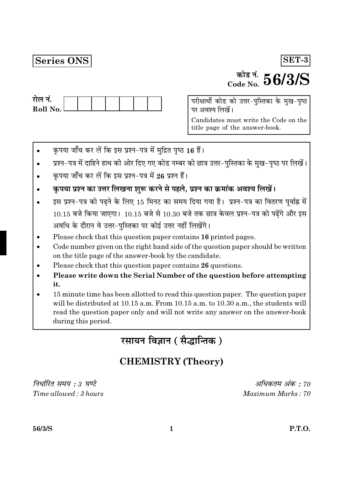## **Series ONS**

### SET-3

# $\frac{1}{\text{code No}}$  56/3/S

| राल न.     |  |  |  |  |
|------------|--|--|--|--|
| Roll No. L |  |  |  |  |
|            |  |  |  |  |

परीक्षार्थी कोड को उत्तर-पुस्तिका के मुख-पृष्ठ पर अवश्य लिखें।

Candidates must write the Code on the title page of the answer-book.

- कृपया जाँच कर लें कि इस प्रश्न-पत्र में मुद्रित पृष्ठ 16 हैं।
- प्रश्न-पत्र में दाहिने हाथ की ओर दिए गए कोड नम्बर को छात्र उत्तर-पुस्तिका के मुख-पृष्ठ पर लिखें।
- कृपया जाँच कर लें कि इस प्रश्न-पत्र में 26 प्रश्न हैं।
- कृपया प्रश्न का उत्तर लिखना शुरू करने से पहले, प्रश्न का क्रमांक अवश्य लिखें।
- इस प्रश्न-पत्र को पढने के लिए 15 मिनट का समय दिया गया है। प्रश्न-पत्र का वितरण पूर्वाह्न में  $10.15$  बजे किया जाएगा।  $10.15$  बजे से  $10.30$  बजे तक छात्र केवल प्रश्न-पत्र को पढ़ेंगे और इस अवधि के दौरान वे उत्तर-पस्तिका पर कोई उत्तर नहीं लिखेंगे।
- Please check that this question paper contains 16 printed pages.
- Code number given on the right hand side of the question paper should be written on the title page of the answer-book by the candidate.
- Please check that this question paper contains 26 questions.
- Please write down the Serial Number of the question before attempting it.
- 15 minute time has been allotted to read this question paper. The question paper will be distributed at 10.15 a.m. From 10.15 a.m. to 10.30 a.m., the students will read the question paper only and will not write any answer on the answer-book during this period.

रसायन विज्ञान (सैद्धान्तिक)

## **CHEMISTRY (Theory)**

निर्धारित समय : 3 घण्टे  $Time allowed: 3 hours$ 

अधिकतम् अंक $\cdot$  70 Maximum Marks: 70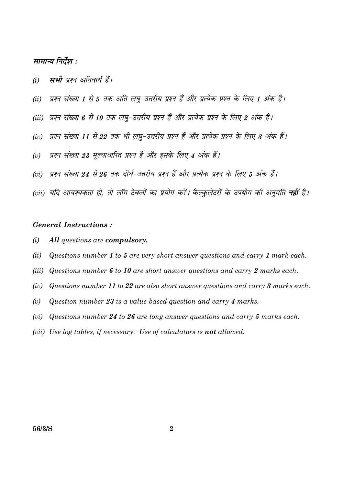#### सामान्य निर्देश :

- म्पभी पृष्ठन अनिवार्य हैं।  $(i)$
- प्रश्न संख्या 1 से 5 तक अति लघ्-उत्तरीय प्रश्न हैं और प्रत्येक प्रश्न के लिए 1 अंक है।  $(ii)$
- (iii) प्रश्न संख्या 6 से 10 तक लघु-उत्तरीय प्रश्न हैं और प्रत्येक प्रश्न के लिए 2 अंक हैं।
- प्रश्न संख्या 11 से 22 तक भी लघ-उत्तरीय प्रश्न हैं और प्रत्येक प्रश्न के लिए 3 अंक हैं।  $(iv)$
- प्रश्न संख्या 23 मूल्याधारित प्रश्न है और इसके लिए 4 अंक हैं।  $(v)$
- (vi) प्रश्न संख्या 24 से 26 तक दीर्घ-उत्तरीय प्रश्न हैं और प्रत्येक प्रश्न के लिए 5 अंक हैं।
- (vii) यदि आवश्यकता हो, तो लॉग टेबलों का प्रयोग करें। कैल्कुलेटरों के उपयोग की अनुमति **नहीं** है।

#### **General Instructions:**

- $(i)$ All questions are compulsory.
- $(ii)$ Questions number 1 to 5 are very short answer questions and carry 1 mark each.
- $(iii)$ Questions number 6 to 10 are short answer questions and carry 2 marks each.
- Questions number 11 to 22 are also short answer questions and carry 3 marks each.  $(iv)$
- Question number 23 is a value based question and carry 4 marks.  $(v)$
- Questions number 24 to 26 are long answer questions and carry 5 marks each.  $(vi)$
- (vii) Use log tables, if necessary. Use of calculators is **not** allowed.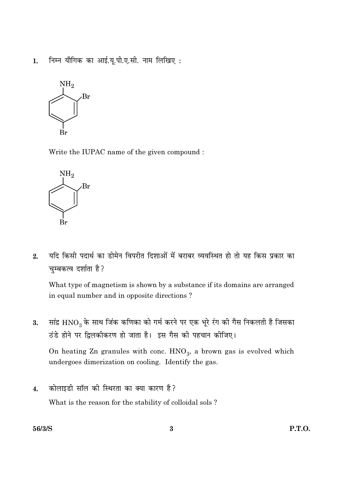निम्न यौगिक का आई.यू.पी.ए.सी. नाम लिखिए:  $1.$ 



Write the IUPAC name of the given compound :



यदि किसी पदार्थ का डोमेन विपरीत दिशाओं में बराबर व्यवस्थित हो तो यह किस प्रकार का  $2.$ चुम्बकत्व दर्शाता है?

What type of magnetism is shown by a substance if its domains are arranged in equal number and in opposite directions?

सांद्र  $\rm HNO_3$  के साथ जिंक कणिका को गर्म करने पर एक भूरे रंग की गैस निकलती है जिसका 3. ठंडे होने पर द्विलकीकरण हो जाता है। इस गैस की पहचान कीजिए।

On heating Zn granules with conc.  $HNO_3$ , a brown gas is evolved which undergoes dimerization on cooling. Identify the gas.

कोलाइडी सॉल की स्थिरता का क्या कारण है?  $\overline{4}$ . What is the reason for the stability of colloidal sols?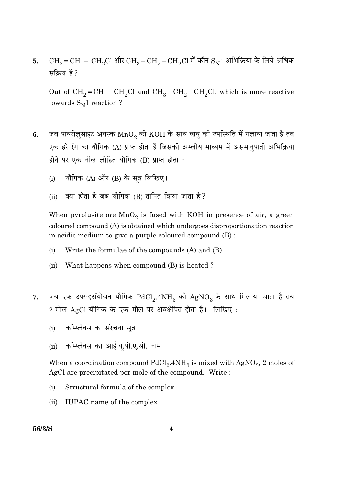$CH_2=CH-CH_2Cl$  और  $CH_3-CH_2-CH_2Cl$  में कौन  $S_N1$  अभिक्रिया के लिये अधिक 5. सक्रिय है?

Out of  $CH_2=CH - CH_2Cl$  and  $CH_3-CH_2-CH_2Cl$ , which is more reactive towards  $S_N1$  reaction ?

- जब पायरोलुसाइट अयस्क  $\mathrm{MnO}_2$  को  $\mathrm{KOH}$  के साथ वायु की उपस्थिति में गलाया जाता है तब 6. एक हरे रंग का यौगिक (A) प्राप्त होता है जिसकी अम्लीय माध्यम में असमानुपाती अभिक्रिया होने पर एक नील लोहित यौगिक (B) प्राप्त होता :
	- यौगिक (A) और (B) के सत्र लिखिए।  $(i)$
	- क्या होता है जब यौगिक (B) तापित किया जाता है?  $(ii)$

When pyrolusite ore  $MnO<sub>2</sub>$  is fused with KOH in presence of air, a green coloured compound (A) is obtained which undergoes disproportionation reaction in acidic medium to give a purple coloured compound (B):

- $(i)$ Write the formulae of the compounds (A) and (B).
- What happens when compound (B) is heated?  $(ii)$
- जब एक उपसहसंयोजन यौगिक  $\mathrm{PdCl}_2.4\mathrm{NH}_3$  को  $\mathrm{AgNO}_3$  के साथ मिलाया जाता है तब 7.  $2$  मोल  $\text{AgCl}$  यौगिक के एक मोल पर अवक्षेपित होता है। लिखिए :
	- कॉम्प्लेक्स का संरचना सूत्र  $(i)$
	- कॉम्प्लेक्स का आई.यू.पी.ए.सी. नाम  $(ii)$

When a coordination compound  $PdCl<sub>2</sub>$ .  $4NH<sub>3</sub>$  is mixed with  $AgNO<sub>3</sub>$ , 2 moles of AgCl are precipitated per mole of the compound. Write:

- $(i)$ Structural formula of the complex
- IUPAC name of the complex  $(ii)$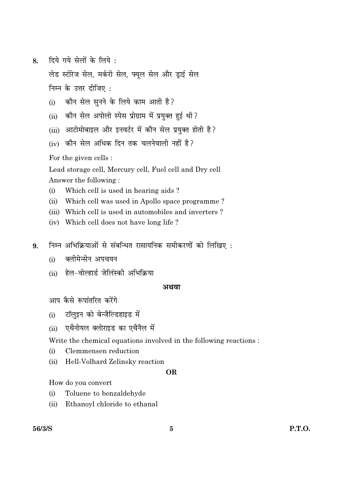दिये गये सेलों के लिये : 8.

> लेड स्टोरेज सेल, मर्करी सेल, फ्यूल सेल और ड्राई सेल निम्न के उत्तर दीजिए :

- कौन सेल सनने के लिये काम आती है?  $(i)$
- कौन सेल अपोलो स्पेस प्रोग्राम में प्रयुक्त हुई थी?  $(ii)$
- (iii) आटोमोबाइल और इनवर्टर में कौन सेल प्रयक्त होती है?
- $(iv)$  कौन सेल अधिक दिन तक चलनेवाली नहीं है?

For the given cells :

Lead storage cell, Mercury cell, Fuel cell and Dry cell Answer the following:

- Which cell is used in hearing aids?  $(i)$
- $(ii)$ Which cell was used in Apollo space programme?
- (iii) Which cell is used in automobiles and inverters?
- (iv) Which cell does not have long life?
- निम्न अभिक्रियाओं से संबन्धित रासायनिक समीकरणों को लिखिए : 9.
	- क्लीमेन्सेन अपचयन  $(i)$
	- (ii) हेल-वोल्हार्ड जेलिंस्की अभिक्रिया

#### अथवा

आप कैसे रूपांतरित करेंगे

- टॉलइन को बेन्जैल्डिहाइड में  $(i)$
- एथैनोयल क्लोराइड का एथैनैल में  $(ii)$

Write the chemical equations involved in the following reactions:

- Clemmensen reduction  $(i)$
- $(ii)$ Hell-Volhard Zelinsky reaction

#### **OR**

How do you convert

- Toluene to benzaldehyde  $(i)$
- Ethanoyl chloride to ethanal  $(ii)$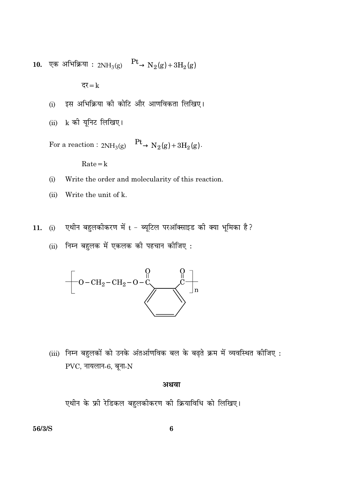10. एक अभिक्रिया :  $2NH_3(g) \xrightarrow{\text{Pt}} N_2(g) + 3H_2(g)$ 

दर $=k$ 

- इस अभिक्रिया की कोटि और आणविकता लिखिए।  $(i)$
- (ii) k की यूनिट लिखिए।

For a reaction :  $2NH_3(g) \xrightarrow{\text{Pt}} N_2(g) + 3H_2(g)$ .

 $Rate = k$ 

- $(i)$ Write the order and molecularity of this reaction.
- $(ii)$ Write the unit of k.
- (i) एथीन बहुलकीकरण में  $t$  ब्यूटिल परऑक्साइड की क्या भूमिका है? 11.
	- (ii) निम्न बहुलक में एकलक की पहचान कीजिए:



(iii) निम्न बहुलकों को उनके अंतर्आणविक बल के बढ़ते क्रम में व्यवस्थित कीजिए:  $PVC$ , नायलान-6, बूना- $N$ 

#### अथवा

एथीन के फ्री रेडिकल बहुलकीकरण की क्रियाविधि को लिखिए।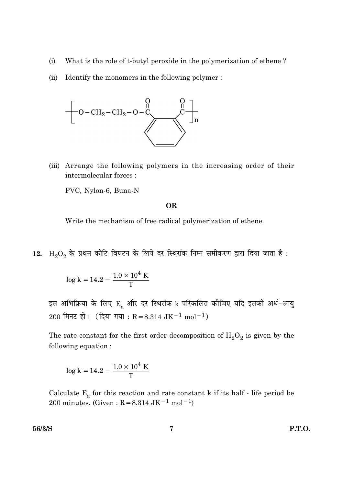- $(i)$ What is the role of t-butyl peroxide in the polymerization of ethene?
- $(ii)$ Identify the monomers in the following polymer:



(iii) Arrange the following polymers in the increasing order of their intermolecular forces :

PVC, Nylon-6, Buna-N

#### **OR**

Write the mechanism of free radical polymerization of ethene.

 $12. \; \; \mathrm{H}_2\mathrm{O}_2$  के प्रथम कोटि विघटन के लिये दर स्थिरांक निम्न समीकरण द्वारा दिया जाता है :

$$
\log k = 14.2 - \frac{1.0 \times 10^4 \text{ K}}{T}
$$

इस अभिक्रिया के लिए E, और दर स्थिरांक k परिकलित कीजिए यदि इसकी अर्ध-आयु 200 मिनट हो। (दिया गया: R = 8.314 JK<sup>-1</sup> mol<sup>-1</sup>)

The rate constant for the first order decomposition of  $\rm H_2O_2$  is given by the following equation:

$$
\log k = 14.2 - \frac{1.0 \times 10^4 \text{ K}}{T}
$$

Calculate  $E_a$  for this reaction and rate constant k if its half - life period be 200 minutes. (Given:  $R = 8.314 \text{ JK}^{-1} \text{ mol}^{-1}$ )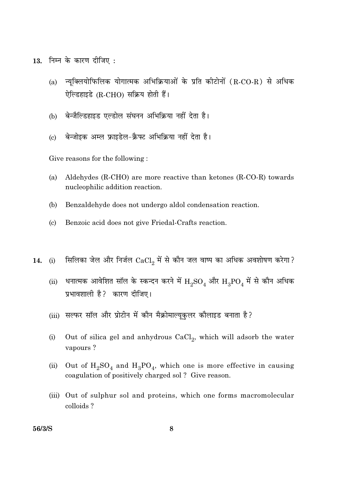13. निम्न के कारण दीजिए:

- न्यूक्लियोफिलिक योगात्मक अभिक्रियाओं के प्रति कीटोनों (R-CO-R) से अधिक  $(a)$ ऐल्डिहाइडे (R-CHO) सक्रिय होती हैं।
- बेन्जैल्डिहाइड एल्डोल संघनन अभिक्रिया नहीं देता है। (b)
- बेन्जोइक अम्ल फ्राइडेल-क्रैफ्ट अभिक्रिया नहीं देता है।  $\left( \mathrm{c}\right)$

Give reasons for the following:

- $(a)$ Aldehydes (R-CHO) are more reactive than ketones (R-CO-R) towards nucleophilic addition reaction.
- Benzaldehyde does not undergo aldol condensation reaction.  $(b)$
- $(c)$ Benzoic acid does not give Friedal-Crafts reaction.
- सिलिका जेल और निर्जल  $CaCl_2$  में से कौन जल वाष्प का अधिक अवशोषण करेगा? 14.  $(i)$ 
	- धनात्मक आवेशित सॉल के स्कन्दन करने में  $\rm H_2SO_4$  और  $\rm H_3PO_4$  में से कौन अधिक  $(ii)$ प्रभावशाली है? कारण दीजिए।
	- (iii) सल्फर सॉल और प्रोटीन में कौन मैक्रोमाल्यूकुलर कौलाइड बनाता है?
	- $(i)$ Out of silica gel and anhydrous CaCl<sub>2</sub>, which will adsorb the water vapours?
	- Out of  $H_2SO_4$  and  $H_3PO_4$ , which one is more effective in causing  $(ii)$ coagulation of positively charged sol? Give reason.
	- (iii) Out of sulphur sol and proteins, which one forms macromolecular colloids?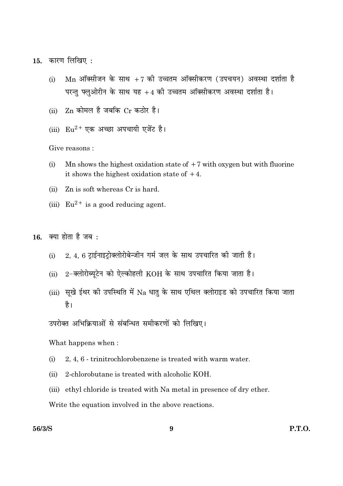कारण लिखिए : 15.

- $Mn$  ऑक्सीजन के साथ +7 की उच्चतम ऑक्सीकरण (उपचयन) अवस्था दर्शाता है  $(i)$ परन्तु फ्लुओरीन के साथ यह +4 की उच्चतम ऑक्सीकरण अवस्था दर्शाता है।
- $\rm Zn$  कोमल है जबकि  $\rm Cr$  कठोर है।  $(ii)$
- (iii)  $Eu^{2+}$  एक अच्छा अपचायी एजेंट है।

Give reasons:

- Mn shows the highest oxidation state of  $+7$  with oxygen but with fluorine  $(i)$ it shows the highest oxidation state of  $+4$ .
- $(ii)$ Zn is soft whereas Cr is hard.
- (iii)  $Eu^{2+}$  is a good reducing agent.

क्या होता है जब : 16.

- 2, 4, 6 टाईनाइटोक्लोरोबेन्जीन गर्म जल के साथ उपचारित की जाती है।  $(i)$
- $2$ -क्लोरोब्यूटेन को ऐल्कोहली  $\rm KOH$  के साथ उपचारित किया जाता है।  $(ii)$
- (iii) सूखे ईथर की उपस्थिति में Na धातु के साथ एथिल क्लोराइड को उपचारित किया जाता है।

उपरोक्त अभिक्रियाओं से संबन्धित समीकरणों को लिखिए।

What happens when:

- 2, 4, 6 trinitrochlorobenzene is treated with warm water.  $(i)$
- 2-chlorobutane is treated with alcoholic KOH.  $(ii)$
- (iii) ethyl chloride is treated with Na metal in presence of dry ether.

Write the equation involved in the above reactions.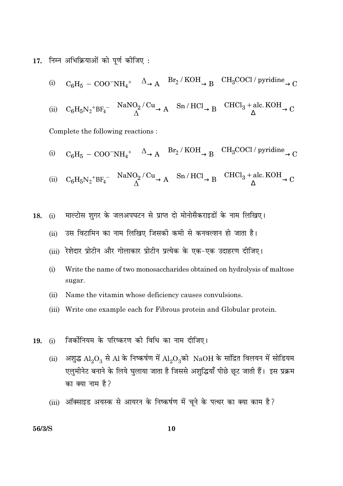17. निम्न अभिक्रियाओं को पूर्ण कीजिए:

(i) 
$$
C_6H_5 - COO^-NH_4^+ \xrightarrow{\Delta} A \xrightarrow{Br_2/KOH} B \xrightarrow{CH_3COCl/pyridine} C
$$

$$
\text{(ii)} \quad C_6 H_5 {N_2}^+ B F_4^- \xrightarrow[\Delta]{NaNO_2/Cu} A \xrightarrow[\Delta]{\text{Sn/HCl}} B \xrightarrow{\text{CHCl}_3 + \text{alc. KOH}} C
$$

Complete the following reactions:

(i) 
$$
C_6H_5 - COO^-NH_4^+ \xrightarrow{\Delta} A \xrightarrow{Br_2/KOH} B \xrightarrow{CH_3COCl/pyridine} C
$$

(ii) 
$$
C_6H_5N_2^+BF_4^- \xrightarrow{\text{NaNO}_2/\text{Cu}} A \xrightarrow{\text{Sn/HCl}} B \xrightarrow{\text{CHCl}_3 + \text{alc. KOH}} C
$$

माल्टोस शुगर के जलअपघटन से प्राप्त दो मोनोसैकराइडों के नाम लिखिए।  $(i)$ 18.

- उस विटामिन का नाम लिखिए जिसकी कमी से कनवल्शन हो जाता है।  $(ii)$
- (iii) रेशेदार प्रोटीन और गोलाकार प्रोटीन प्रत्येक के एक-एक उदाहरण दीजिए।
- $(i)$ Write the name of two monosaccharides obtained on hydrolysis of maltose sugar.
- $(ii)$ Name the vitamin whose deficiency causes convulsions.
- (iii) Write one example each for Fibrous protein and Globular protein.
- जिर्कोनियम के परिष्करण की विधि का नाम दीजिए। 19.  $(i)$ 
	- अशुद्ध  $\text{Al}_2\text{O}_3$  से Al के निष्कर्षण में  $\text{Al}_2\text{O}_3$ को  $\text{NaOH}$  के सांद्रित विलयन में सोडियम  $(ii)$ एलुमीनेट बनाने के लिये घुलाया जाता है जिससे अशुद्धियाँ पीछे छूट जाती हैं। इस प्रक्रम का क्या नाम है?
	- (iii) ऑक्साइड अयस्क से आयरन के निष्कर्षण में चूने के पत्थर का क्या काम है?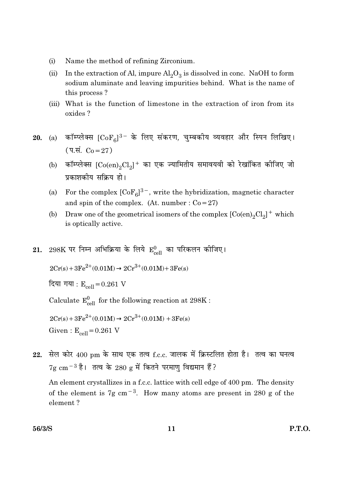- Name the method of refining Zirconium.  $(i)$
- In the extraction of Al, impure  $Al_2O_3$  is dissolved in conc. NaOH to form  $(ii)$ sodium aluminate and leaving impurities behind. What is the name of this process?
- (iii) What is the function of limestone in the extraction of iron from its oxides?
- (a) कॉम्प्लेक्स  $[CoF_{6}]^{3-}$  के लिए संकरण, चुम्बकीय व्यवहार और स्पिन लिखिए। 20.  $(4.4. C<sub>0</sub>=27)$ 
	- (b) कॉम्प्लेक्स  $[Co(en)_2Cl_2]$ + का एक ज्यामितीय समावयवी को रेखांकित कीजिए जो प्रकाशकीय सक्रिय हो।
	- For the complex  $[CoF_{\beta}]^{3-}$ , write the hybridization, magnetic character  $(a)$ and spin of the complex. (At. number :  $Co = 27$ )
	- Draw one of the geometrical isomers of the complex  $[Co(en)_2Cl_2]^+$  which (b) is optically active.
- 298K पर निम्न अभिक्रिया के लिये  $E_{coll}^{0}$  का परिकलन कीजिए। 21.

 $2Cr(s) + 3Fe^{2+}(0.01M) \rightarrow 2Cr^{3+}(0.01M) + 3Fe(s)$ 

दिया गया :  $E_{cell} = 0.261$  V

Calculate  $E_{cell}^0$  for the following reaction at 298K :

 $2Cr(s) + 3Fe^{2+}(0.01M) \rightarrow 2Cr^{3+}(0.01M) + 3Fe(s)$ 

Given:  $E_{\text{cell}} = 0.261$  V

सेल कोर 400 pm के साथ एक तत्व f.c.c. जालक में क्रिस्टलित होता है। तत्व का घनत्व 22.  $7g \text{ cm}^{-3}$  है। तत्व के 280 g में कितने परमाणु विद्यमान हैं?

An element crystallizes in a f.c.c. lattice with cell edge of 400 pm. The density of the element is 7g cm<sup> $-3$ </sup>. How many atoms are present in 280 g of the element?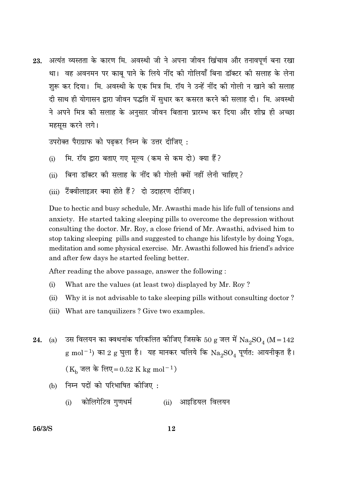अत्यंत व्यस्तता के कारण मि. अवस्थी जी ने अपना जीवन खिंचाव और तनावपूर्ण बना रखा 23. था। वह अवनमन पर काबू पाने के लिये नींद की गोलियाँ बिना डॉक्टर की सलाह के लेना शुरू कर दिया। मि. अवस्थी के एक मित्र मि. रॉय ने उन्हें नींद की गोली न खाने की सलाह दी साथ ही योगासन द्वारा जीवन पद्धति में सधार कर कसरत करने की सलाह दी। मि. अवस्थी ने अपने मित्र को सलाह के अनुसार जीवन बिताना प्रारम्भ कर दिया और शीघ्र ही अच्छा महसुस करने लगे।

उपरोक्त पैराग्राफ को पढकर निम्न के उत्तर दीजिए:

- मि. रॉय द्वारा बताए गए मल्य (कम से कम दो) क्या हैं?  $(i)$
- बिना डॉक्टर की सलाह के नींद की गोली क्यों नहीं लेनी चाहिए ?  $(ii)$
- (iii) टैंक्वीलाइज़र क्या होते हैं? दो उदाहरण दीजिए।

Due to hectic and busy schedule, Mr. Awasthi made his life full of tensions and anxiety. He started taking sleeping pills to overcome the depression without consulting the doctor. Mr. Roy, a close friend of Mr. Awasthi, advised him to stop taking sleeping pills and suggested to change his lifestyle by doing Yoga, meditation and some physical exercise. Mr. Awasthi followed his friend's advice and after few days he started feeling better.

After reading the above passage, answer the following:

- $(i)$ What are the values (at least two) displayed by Mr. Roy?
- Why it is not advisable to take sleeping pills without consulting doctor?  $(ii)$
- (iii) What are tanguilizers? Give two examples.
- उस विलयन का क्वथनांक परिकलित कीजिए जिसके 50 g जल में  $\mathrm{Na_{2}SO_{4}}$  (M = 142 24.  $(a)$  $g \text{ mol}^{-1}$ ) का 2  $g \text{ g}$ ला है। यह मानकर चलिये कि  $\text{Na}_2\text{SO}_4$  पूर्णत: आयनीकृत है।  $(K_h \overline{\sigma} \overline{\sigma})$  के लिए=0.52 K kg mol<sup>-1</sup>)
	- निम्न पदों को परिभाषित कीजिए:  $(b)$ 
		- (i) कोलिगेटिव गुणधर्म (ii) आइडियल विलयन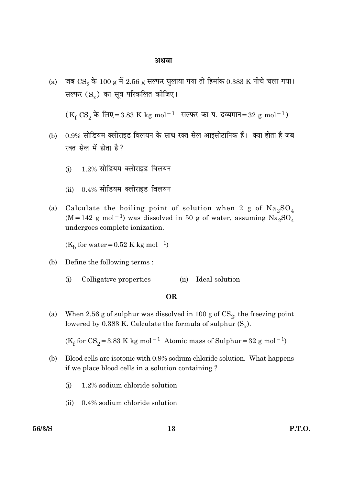#### अथवा

(a) जब  $\text{CS}_2$  के 100 g में 2.56 g सल्फर घुलाया गया तो हिमांक 0.383 K नीचे चला गया। सल्फर (S ) का सूत्र परिकलित कीजिए।

- (b) 0.9% सोडियम क्लोराइड विलयन के साथ रक्त सेल आइसोटानिक हैं। क्या होता है जब रक्त सेल में होता है?
	- 1.2% सोडियम क्लोराइड विलयन  $(i)$
	- $0.4\%$  सोडियम क्लोराइड विलयन  $(i)$
- Calculate the boiling point of solution when 2 g of  $\text{Na}_2\text{SO}_4$  $(a)$  $(M = 142$  g mol<sup>-1</sup>) was dissolved in 50 g of water, assuming  $Na<sub>2</sub>SO<sub>4</sub>$ undergoes complete ionization.

( $K_h$  for water = 0.52 K kg mol<sup>-1</sup>)

- Define the following terms: (b)
	- Colligative properties (ii) Ideal solution  $(i)$

#### **OR**

When 2.56 g of sulphur was dissolved in 100 g of  $CS_2$ , the freezing point  $(a)$ lowered by 0.383 K. Calculate the formula of sulphur  $(S_x)$ .

( $K_f$  for CS<sub>2</sub> = 3.83 K kg mol<sup>-1</sup> Atomic mass of Sulphur = 32 g mol<sup>-1</sup>)

- Blood cells are isotonic with 0.9% sodium chloride solution. What happens (b) if we place blood cells in a solution containing?
	- 1.2% sodium chloride solution  $(i)$
	- $0.4\%$  sodium chloride solution  $(ii)$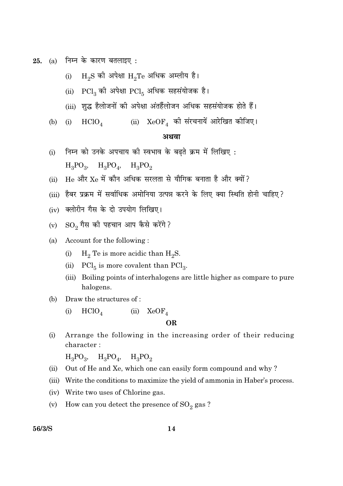25. (a) निम्न के कारण बतलाइए:

- $\rm{H_2S}$  की अपेक्षा  $\rm{H_2Te}$  अधिक अम्लीय है।  $(i)$
- (ii)  $\text{PCl}_3$  की अपेक्षा  $\text{PCl}_5$  अधिक सहसंयोजक है।
- (iii) शुद्ध हैलोजनों की अपेक्षा अंतर्हैलोजन अधिक सहसंयोजक होते हैं।
- (i)  $HClO_4$  (ii)  $XeOF_4$  की संरचनायें आरेखित कीजिए।  $(b)$

#### अथवा

- निम्न को उनके अपचाय की स्वभाव के बढ़ते क्रम में लिखिए:  $(i)$  $H_3PO_3$ ,  $H_3PO_4$ ,  $H_3PO_2$
- $He$  और  $Xe$  में कौन अधिक सरलता से यौगिक बनाता है और क्यों?  $(ii)$
- (iii) हैबर प्रक्रम में सर्वाधिक अमोनिया उत्पन्न करने के लिए क्या स्थिति होनी चाहिए?
- (iv) क्लोरीन गैस के दो उपयोग लिखिए।
- $\mathrm{SO}_2$  गैस की पहचान आप कैसे करेंगे ?  $(v)$
- Account for the following: (a)
	- $H_2$  Te is more acidic than  $H_2S$ .  $(i)$
	- $\text{PCl}_5$  is more covalent than  $\text{PCl}_3$ .  $(ii)$
	- (iii) Boiling points of interhalogens are little higher as compare to pure halogens.
- $(b)$ Draw the structures of:
	- $HClO<sub>4</sub>$ (ii)  $XeOF<sub>A</sub>$  $(i)$

#### **OR**

Arrange the following in the increasing order of their reducing  $(i)$ character:

 $H_3PO_3$ ,  $H_3PO_4$ ,  $H_3PO_9$ 

- Out of He and Xe, which one can easily form compound and why?  $(ii)$
- (iii) Write the conditions to maximize the yield of ammonia in Haber's process.
- (iv) Write two uses of Chlorine gas.
- How can you detect the presence of  $\text{SO}_2$  gas?  $(v)$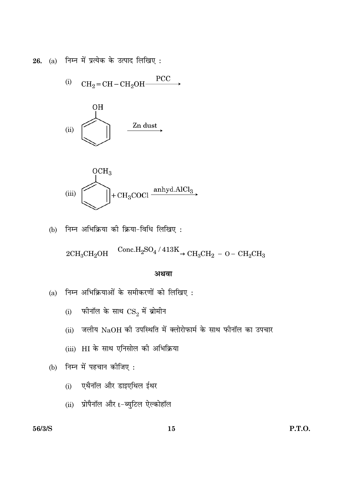26. (a) निम्न में प्रत्येक के उत्पाद लिखिए:

(i) 
$$
CH_2=CH-CH_2OH \xrightarrow{PCC}
$$





(b) निम्न अभिक्रिया की क्रिया-विधि लिखिए:

 $2\mathrm{CH_{3}CH_{2}OH} \xrightarrow{\quad \mathrm{Conc.}\mathrm{H_{2}SO_{4}}\,/\,413\mathrm{K}}\,{}_{\text{C}H_{3}CH_{2}}\,-\,\mathrm{O-}\,\mathrm{CH_{2}CH_{3}}$ 

#### अथवा

- निम्न अभिक्रियाओं के समीकरणों को लिखिए :  $(a)$ 
	- (i) फीनॉल के साथ  $\text{CS}_2$  में ब्रोमीन
	- (ii) जलीय NaOH की उपस्थिति में क्लोरोफार्म के साथ फीनॉल का उपचार
	- (iii) HI के साथ एनिसोल की अभिक्रिया
- (b) निम्न में पहचान कीजिए:
	- एथैनॉल और डाइएथिल ईथर  $(i)$
	- (ii) प्रोपैनॉल और  $t$ -ब्युटिल ऐल्कोहॉल